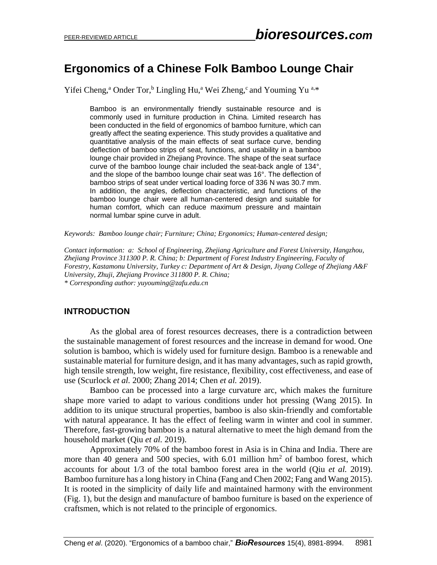# **Ergonomics of a Chinese Folk Bamboo Lounge Chair**

Yifei Cheng,<sup>a</sup> Onder Tor,<sup>b</sup> Lingling Hu,<sup>a</sup> Wei Zheng,<sup>c</sup> and Youming Yu <sup>a,\*</sup>

Bamboo is an environmentally friendly sustainable resource and is commonly used in furniture production in China. Limited research has been conducted in the field of ergonomics of bamboo furniture, which can greatly affect the seating experience. This study provides a qualitative and quantitative analysis of the main effects of seat surface curve, bending deflection of bamboo strips of seat, functions, and usability in a bamboo lounge chair provided in Zhejiang Province. The shape of the seat surface curve of the bamboo lounge chair included the seat-back angle of 134°, and the slope of the bamboo lounge chair seat was 16°. The deflection of bamboo strips of seat under vertical loading force of 336 N was 30.7 mm. In addition, the angles, deflection characteristic, and functions of the bamboo lounge chair were all human-centered design and suitable for human comfort, which can reduce maximum pressure and maintain normal lumbar spine curve in adult.

*Keywords: Bamboo lounge chair; Furniture; China; Ergonomics; Human-centered design;* 

*Contact information: a: School of Engineering, Zhejiang Agriculture and Forest University, Hangzhou, Zhejiang Province 311300 P. R. China; b: Department of Forest Industry Engineering, Faculty of Forestry, Kastamonu University, Turkey c: Department of Art & Design, Jiyang College of Zhejiang A&F University, Zhuji, Zhejiang Province 311800 P. R. China; \* Corresponding author: yuyouming@zafu.edu.cn*

# **INTRODUCTION**

As the global area of forest resources decreases, there is a contradiction between the sustainable management of forest resources and the increase in demand for wood. One solution is bamboo, which is widely used for furniture design. Bamboo is a renewable and sustainable material for furniture design, and it has many advantages, such as rapid growth, high tensile strength, low weight, fire resistance, flexibility, cost effectiveness, and ease of use (Scurlock *et al.* 2000; Zhang 2014; Chen *et al.* 2019).

Bamboo can be processed into a large curvature arc, which makes the furniture shape more varied to adapt to various conditions under hot pressing (Wang 2015). In addition to its unique structural properties, bamboo is also skin-friendly and comfortable with natural appearance. It has the effect of feeling warm in winter and cool in summer. Therefore, fast-growing bamboo is a natural alternative to meet the high demand from the household market (Qiu *et al.* 2019).

Approximately 70% of the bamboo forest in Asia is in China and India. There are more than 40 genera and 500 species, with  $6.01$  million hm<sup>2</sup> of bamboo forest, which accounts for about 1/3 of the total bamboo forest area in the world (Qiu *et al.* 2019). Bamboo furniture has a long history in China (Fang and Chen 2002; Fang and Wang 2015). It is rooted in the simplicity of daily life and maintained harmony with the environment (Fig. 1), but the design and manufacture of bamboo furniture is based on the experience of craftsmen, which is not related to the principle of ergonomics.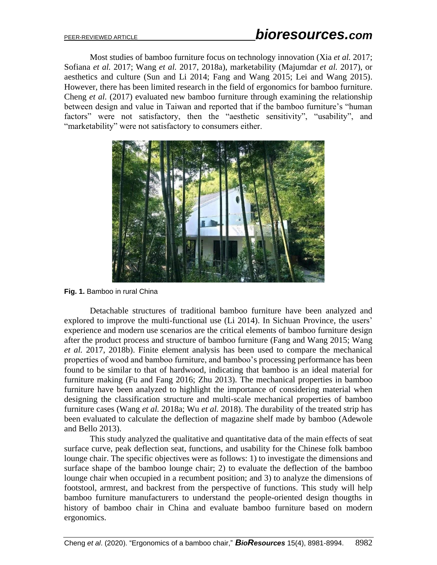Most studies of bamboo furniture focus on technology innovation (Xia *et al.* 2017; Sofiana *et al.* 2017; Wang *et al.* 2017, 2018a), marketability (Majumdar *et al.* 2017), or aesthetics and culture (Sun and Li 2014; Fang and Wang 2015; Lei and Wang 2015). However, there has been limited research in the field of ergonomics for bamboo furniture. Cheng *et al.* (2017) evaluated new bamboo furniture through examining the relationship between design and value in Taiwan and reported that if the bamboo furniture's "human factors" were not satisfactory, then the "aesthetic sensitivity", "usability", and "marketability" were not satisfactory to consumers either.



**Fig. 1.** Bamboo in rural China

Detachable structures of traditional bamboo furniture have been analyzed and explored to improve the multi-functional use (Li 2014). In Sichuan Province, the users' experience and modern use scenarios are the critical elements of bamboo furniture design after the product process and structure of bamboo furniture (Fang and Wang 2015; Wang *et al.* 2017, 2018b). Finite element analysis has been used to compare the mechanical properties of wood and bamboo furniture, and bamboo's processing performance has been found to be similar to that of hardwood, indicating that bamboo is an ideal material for furniture making (Fu and Fang 2016; Zhu 2013). The mechanical properties in bamboo furniture have been analyzed to highlight the importance of considering material when designing the classification structure and multi-scale mechanical properties of bamboo furniture cases (Wang *et al.* 2018a; Wu *et al.* 2018). The durability of the treated strip has been evaluated to calculate the deflection of magazine shelf made by bamboo (Adewole and Bello 2013).

This study analyzed the qualitative and quantitative data of the main effects of seat surface curve, peak deflection seat, functions, and usability for the Chinese folk bamboo lounge chair. The specific objectives were as follows: 1) to investigate the dimensions and surface shape of the bamboo lounge chair; 2) to evaluate the deflection of the bamboo lounge chair when occupied in a recumbent position; and 3) to analyze the dimensions of footstool, armrest, and backrest from the perspective of functions. This study will help bamboo furniture manufacturers to understand the people-oriented design thougths in history of bamboo chair in China and evaluate bamboo furniture based on modern ergonomics.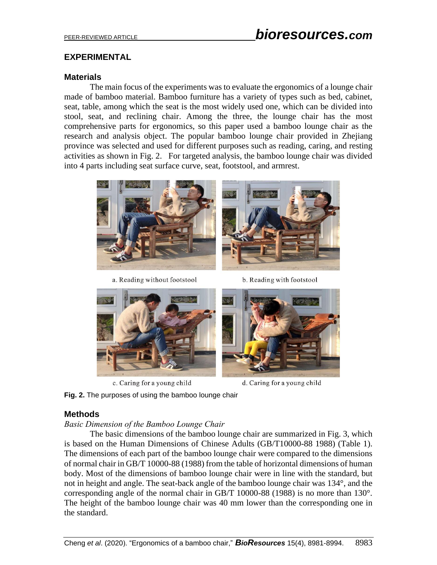# **EXPERIMENTAL**

## **Materials**

The main focus of the experiments was to evaluate the ergonomics of a lounge chair made of bamboo material. Bamboo furniture has a variety of types such as bed, cabinet, seat, table, among which the seat is the most widely used one, which can be divided into stool, seat, and reclining chair. Among the three, the lounge chair has the most comprehensive parts for ergonomics, so this paper used a bamboo lounge chair as the research and analysis object. The popular bamboo lounge chair provided in Zhejiang province was selected and used for different purposes such as reading, caring, and resting activities as shown in Fig. 2. For targeted analysis, the bamboo lounge chair was divided into 4 parts including seat surface curve, seat, footstool, and armrest.



a. Reading without footstool

b. Reading with footstool



c. Caring for a young child

d. Caring for a young child

**Fig. 2.** The purposes of using the bamboo lounge chair

#### **Methods**

#### *Basic Dimension of the Bamboo Lounge Chair*

The basic dimensions of the bamboo lounge chair are summarized in Fig. 3, which is based on the Human Dimensions of Chinese Adults (GB/T10000-88 1988) (Table 1). The dimensions of each part of the bamboo lounge chair were compared to the dimensions of normal chair in GB/T 10000-88 (1988) from the table of horizontal dimensions of human body. Most of the dimensions of bamboo lounge chair were in line with the standard, but not in height and angle. The seat-back angle of the bamboo lounge chair was 134°, and the corresponding angle of the normal chair in GB/T 10000-88 (1988) is no more than 130°. The height of the bamboo lounge chair was 40 mm lower than the corresponding one in the standard.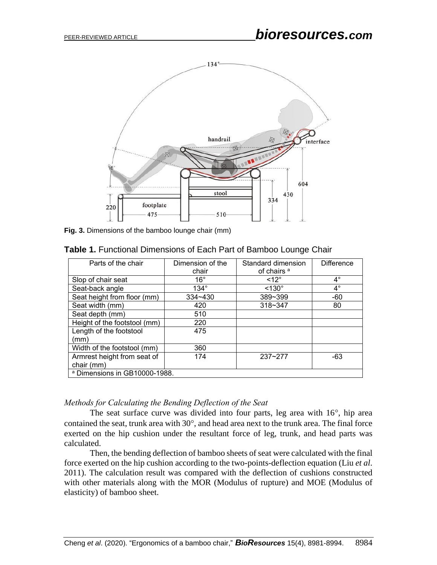

**Fig. 3.** Dimensions of the bamboo lounge chair (mm)

| Parts of the chair                        | Dimension of the<br>chair | Standard dimension<br>of chairs <sup>a</sup> | <b>Difference</b> |  |  |
|-------------------------------------------|---------------------------|----------------------------------------------|-------------------|--|--|
| Slop of chair seat                        | $16^{\circ}$              | $<12^{\circ}$                                | $4^{\circ}$       |  |  |
| Seat-back angle                           | $134^\circ$               | $< 130^\circ$                                | $4^{\circ}$       |  |  |
| Seat height from floor (mm)               | $334 - 430$               | 389~399                                      | $-60$             |  |  |
| Seat width (mm)                           | 420                       | $318 - 347$                                  |                   |  |  |
| Seat depth (mm)                           | 510                       |                                              |                   |  |  |
| Height of the footstool (mm)              | 220                       |                                              |                   |  |  |
| Length of the footstool<br>(mm)           | 475                       |                                              |                   |  |  |
| Width of the footstool (mm)               | 360                       |                                              |                   |  |  |
| Armrest height from seat of<br>chair (mm) | 174                       | $237 - 277$                                  | -63               |  |  |
| <sup>a</sup> Dimensions in GB10000-1988.  |                           |                                              |                   |  |  |

**Table 1.** Functional Dimensions of Each Part of Bamboo Lounge Chair

# *Methods for Calculating the Bending Deflection of the Seat*

The seat surface curve was divided into four parts, leg area with  $16^{\circ}$ , hip area contained the seat, trunk area with  $30^{\circ}$ , and head area next to the trunk area. The final force exerted on the hip cushion under the resultant force of leg, trunk, and head parts was calculated.

Then, the bending deflection of bamboo sheets of seat were calculated with the final force exerted on the hip cushion according to the two-points-deflection equation (Liu *et al*. 2011). The calculation result was compared with the deflection of cushions constructed with other materials along with the MOR (Modulus of rupture) and MOE (Modulus of elasticity) of bamboo sheet.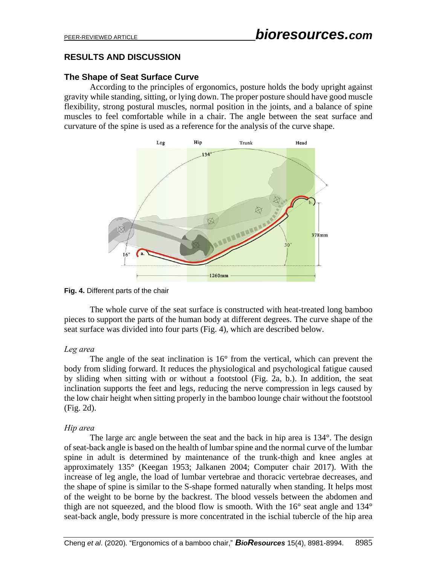# **RESULTS AND DISCUSSION**

# **The Shape of Seat Surface Curve**

According to the principles of ergonomics, posture holds the body upright against gravity while standing, sitting, or lying down. The proper posture should have good muscle flexibility, strong postural muscles, normal position in the joints, and a balance of spine muscles to feel comfortable while in a chair. The angle between the seat surface and curvature of the spine is used as a reference for the analysis of the curve shape.



#### **Fig. 4.** Different parts of the chair

The whole curve of the seat surface is constructed with heat-treated long bamboo pieces to support the parts of the human body at different degrees. The curve shape of the seat surface was divided into four parts (Fig. 4), which are described below.

# *Leg area*

The angle of the seat inclination is 16° from the vertical, which can prevent the body from sliding forward. It reduces the physiological and psychological fatigue caused by sliding when sitting with or without a footstool (Fig. 2a, b.). In addition, the seat inclination supports the feet and legs, reducing the nerve compression in legs caused by the low chair height when sitting properly in the bamboo lounge chair without the footstool (Fig. 2d).

# *Hip area*

The large arc angle between the seat and the back in hip area is 134°. The design of seat-back angle is based on the health of lumbar spine and the normal curve of the lumbar spine in adult is determined by maintenance of the trunk-thigh and knee angles at approximately 135° (Keegan 1953; Jalkanen 2004; Computer chair 2017). With the increase of leg angle, the load of lumbar vertebrae and thoracic vertebrae decreases, and the shape of spine is similar to the S-shape formed naturally when standing. It helps most of the weight to be borne by the backrest. The blood vessels between the abdomen and thigh are not squeezed, and the blood flow is smooth. With the 16° seat angle and 134° seat-back angle, body pressure is more concentrated in the ischial tubercle of the hip area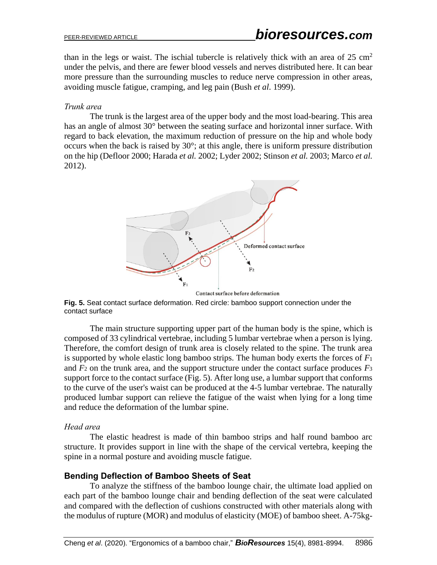than in the legs or waist. The ischial tubercle is relatively thick with an area of  $25 \text{ cm}^2$ under the pelvis, and there are fewer blood vessels and nerves distributed here. It can bear more pressure than the surrounding muscles to reduce nerve compression in other areas, avoiding muscle fatigue, cramping, and leg pain (Bush *et al*. 1999).

## *Trunk area*

The trunk is the largest area of the upper body and the most load-bearing. This area has an angle of almost 30° between the seating surface and horizontal inner surface. With regard to back elevation, the maximum reduction of pressure on the hip and whole body occurs when the back is raised by 30°; at this angle, there is uniform pressure distribution on the hip (Defloor 2000; Harada *et al.* 2002; Lyder 2002; Stinson *et al.* 2003; Marco *et al.* 2012).



Contact surface before deformation

**Fig. 5.** Seat contact surface deformation. Red circle: bamboo support connection under the contact surface

The main structure supporting upper part of the human body is the spine, which is composed of 33 cylindrical vertebrae, including 5 lumbar vertebrae when a person is lying. Therefore, the comfort design of trunk area is closely related to the spine. The trunk area is supported by whole elastic long bamboo strips. The human body exerts the forces of  $F_1$ and  $F_2$  on the trunk area, and the support structure under the contact surface produces  $F_3$ support force to the contact surface (Fig. 5). After long use, a lumbar support that conforms to the curve of the user's waist can be produced at the 4-5 lumbar vertebrae. The naturally produced lumbar support can relieve the fatigue of the waist when lying for a long time and reduce the deformation of the lumbar spine.

#### *Head area*

The elastic headrest is made of thin bamboo strips and half round bamboo arc structure. It provides support in line with the shape of the cervical vertebra, keeping the spine in a normal posture and avoiding muscle fatigue.

# **Bending Deflection of Bamboo Sheets of Seat**

To analyze the stiffness of the bamboo lounge chair, the ultimate load applied on each part of the bamboo lounge chair and bending deflection of the seat were calculated and compared with the deflection of cushions constructed with other materials along with the modulus of rupture (MOR) and modulus of elasticity (MOE) of bamboo sheet. A-75kg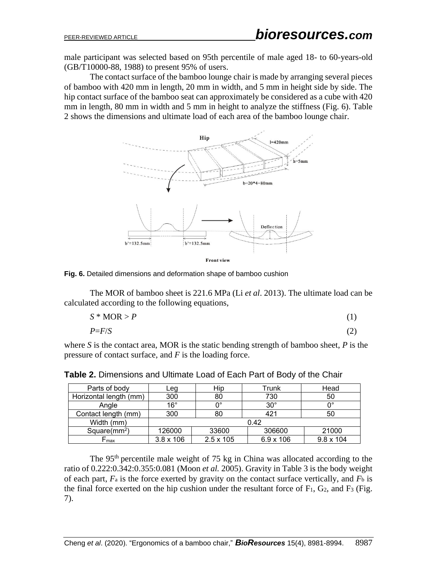male participant was selected based on 95th percentile of male aged 18- to 60-years-old (GB/T10000-88, 1988) to present 95% of users.

The contact surface of the bamboo lounge chair is made by arranging several pieces of bamboo with 420 mm in length, 20 mm in width, and 5 mm in height side by side. The hip contact surface of the bamboo seat can approximately be considered as a cube with 420 mm in length, 80 mm in width and 5 mm in height to analyze the stiffness (Fig. 6). Table 2 shows the dimensions and ultimate load of each area of the bamboo lounge chair.



**Fig. 6.** Detailed dimensions and deformation shape of bamboo cushion

The MOR of bamboo sheet is 221.6 MPa (Li *et al*. 2013). The ultimate load can be calculated according to the following equations,

$$
S * MOR > P \tag{1}
$$

*P*=*F*/*S* (2)

where *S* is the contact area, MOR is the static bending strength of bamboo sheet, *P* is the pressure of contact surface, and *F* is the loading force.

| Parts of body          | Leg              | Hip              | Trunk      | Head             |
|------------------------|------------------|------------------|------------|------------------|
| Horizontal length (mm) | 300              | 80               | 730        | 50               |
| Angle                  | $16^{\circ}$     | $0^{\circ}$      | $30^\circ$ |                  |
| Contact length (mm)    | 300              | 80               | 421        | 50               |
| Width (mm)             | 0.42             |                  |            |                  |
| Square( $mm2$ )        | 126000           | 33600            | 306600     | 21000            |
| Γmax                   | $3.8 \times 106$ | $2.5 \times 105$ | 6.9 x 106  | $9.8 \times 104$ |

**Table 2.** Dimensions and Ultimate Load of Each Part of Body of the Chair

The  $95<sup>th</sup>$  percentile male weight of 75 kg in China was allocated according to the ratio of 0.222:0.342:0.355:0.081 (Moon *et al.* 2005). Gravity in Table 3 is the body weight of each part,  $F_a$  is the force exerted by gravity on the contact surface vertically, and  $F_b$  is the final force exerted on the hip cushion under the resultant force of  $F_1$ ,  $G_2$ , and  $F_3$  (Fig. 7).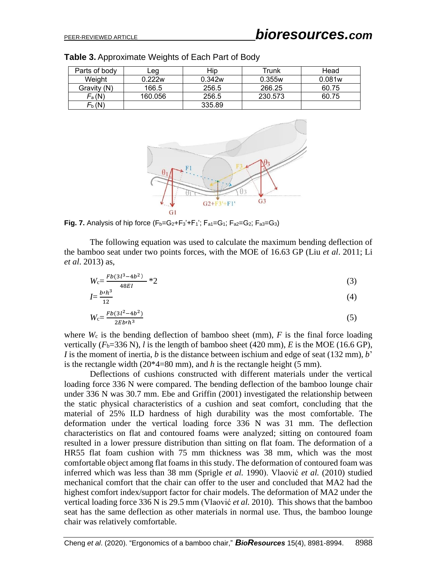| Parts of body | Leg     | Hip    | Trunk   | Head   |
|---------------|---------|--------|---------|--------|
| Weight        | 0.222w  | 0.342w | 0.355w  | 0.081w |
| Gravity (N)   | 166.5   | 256.5  | 266.25  | 60.75  |
| $F_a(N)$      | 160.056 | 256.5  | 230.573 | 60.75  |
| $F_{b}(N)$    |         | 335.89 |         |        |

**Table 3.** Approximate Weights of Each Part of Body



**Fig. 7.** Analysis of hip force  $(F_b=G_2+F_3+F_1)$ ;  $F_{a1}=G_1$ ;  $F_{a2}=G_2$ ;  $F_{a3}=G_3$ )

The following equation was used to calculate the maximum bending deflection of the bamboo seat under two points forces, with the MOE of 16.63 GP (Liu *et al*. 2011; Li *et al*. 2013) as,

$$
W_{\rm c} = \frac{Fb(3l^3 - 4b^2)}{48EI} \cdot 2 \tag{3}
$$

$$
I = \frac{b^h h^3}{12} \tag{4}
$$

$$
W_{c} = \frac{Fb(3l^2 - 4b^2)}{2Eb^2h^3}
$$
 (5)

where  $W_c$  is the bending deflection of bamboo sheet (mm),  $F$  is the final force loading vertically  $(F_b=336 \text{ N})$ , *l* is the length of bamboo sheet (420 mm), *E* is the MOE (16.6 GP), *I* is the moment of inertia, *b* is the distance between ischium and edge of seat (132 mm), *b*' is the rectangle width  $(20*4=80 \text{ mm})$ , and *h* is the rectangle height (5 mm).

Deflections of cushions constructed with different materials under the vertical loading force 336 N were compared. The bending deflection of the bamboo lounge chair under 336 N was 30.7 mm. Ebe and Griffin (2001) investigated the relationship between the static physical characteristics of a cushion and seat comfort, concluding that the material of 25% ILD hardness of high durability was the most comfortable. The deformation under the vertical loading force 336 N was 31 mm. The deflection characteristics on flat and contoured foams were analyzed; sitting on contoured foam resulted in a lower pressure distribution than sitting on flat foam. The deformation of a HR55 flat foam cushion with 75 mm thickness was 38 mm, which was the most comfortable object among flat foams in this study. The deformation of contoured foam was inferred which was less than 38 mm (Sprigle *et al.* 1990). Vlaović *et al.* (2010) studied mechanical comfort that the chair can offer to the user and concluded that MA2 had the highest comfort index/support factor for chair models. The deformation of MA2 under the vertical loading force 336 N is 29.5 mm (Vlaović *et al.* 2010). This shows that the bamboo seat has the same deflection as other materials in normal use. Thus, the bamboo lounge chair was relatively comfortable.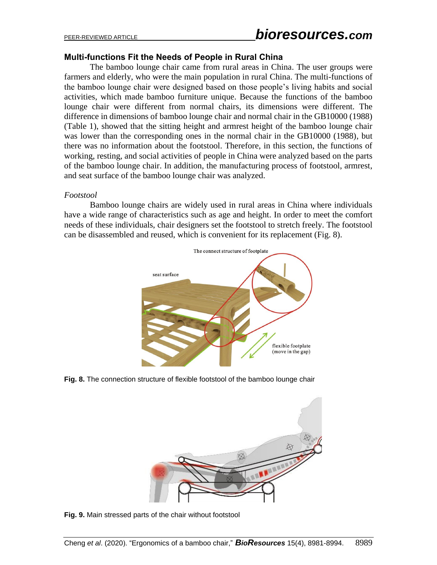## **Multi-functions Fit the Needs of People in Rural China**

The bamboo lounge chair came from rural areas in China. The user groups were farmers and elderly, who were the main population in rural China. The multi-functions of the bamboo lounge chair were designed based on those people's living habits and social activities, which made bamboo furniture unique. Because the functions of the bamboo lounge chair were different from normal chairs, its dimensions were different. The difference in dimensions of bamboo lounge chair and normal chair in the GB10000 (1988) (Table 1), showed that the sitting height and armrest height of the bamboo lounge chair was lower than the corresponding ones in the normal chair in the GB10000 (1988), but there was no information about the footstool. Therefore, in this section, the functions of working, resting, and social activities of people in China were analyzed based on the parts of the bamboo lounge chair. In addition, the manufacturing process of footstool, armrest, and seat surface of the bamboo lounge chair was analyzed.

#### *Footstool*

Bamboo lounge chairs are widely used in rural areas in China where individuals have a wide range of characteristics such as age and height. In order to meet the comfort needs of these individuals, chair designers set the footstool to stretch freely. The footstool can be disassembled and reused, which is convenient for its replacement (Fig. 8).



**Fig. 8.** The connection structure of flexible footstool of the bamboo lounge chair



**Fig. 9.** Main stressed parts of the chair without footstool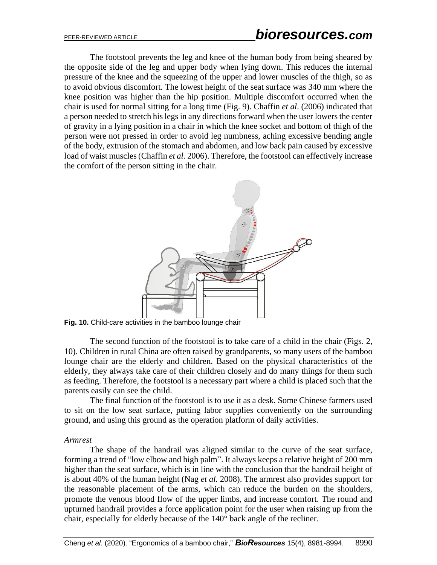The footstool prevents the leg and knee of the human body from being sheared by the opposite side of the leg and upper body when lying down. This reduces the internal pressure of the knee and the squeezing of the upper and lower muscles of the thigh, so as to avoid obvious discomfort. The lowest height of the seat surface was 340 mm where the knee position was higher than the hip position. Multiple discomfort occurred when the chair is used for normal sitting for a long time (Fig. 9). Chaffin *et al*. (2006) indicated that a person needed to stretch his legs in any directions forward when the user lowers the center of gravity in a lying position in a chair in which the knee socket and bottom of thigh of the person were not pressed in order to avoid leg numbness, aching excessive bending angle of the body, extrusion of the stomach and abdomen, and low back pain caused by excessive load of waist muscles (Chaffin *et al.* 2006). Therefore, the footstool can effectively increase the comfort of the person sitting in the chair.



Fig. 10. Child-care activities in the bamboo lounge chair

The second function of the footstool is to take care of a child in the chair (Figs. 2, 10). Children in rural China are often raised by grandparents, so many users of the bamboo lounge chair are the elderly and children. Based on the physical characteristics of the elderly, they always take care of their children closely and do many things for them such as feeding. Therefore, the footstool is a necessary part where a child is placed such that the parents easily can see the child.

The final function of the footstool is to use it as a desk. Some Chinese farmers used to sit on the low seat surface, putting labor supplies conveniently on the surrounding ground, and using this ground as the operation platform of daily activities.

#### *Armrest*

The shape of the handrail was aligned similar to the curve of the seat surface, forming a trend of "low elbow and high palm". It always keeps a relative height of 200 mm higher than the seat surface, which is in line with the conclusion that the handrail height of is about 40% of the human height (Nag *et al.* 2008). The armrest also provides support for the reasonable placement of the arms, which can reduce the burden on the shoulders, promote the venous blood flow of the upper limbs, and increase comfort. The round and upturned handrail provides a force application point for the user when raising up from the chair, especially for elderly because of the 140° back angle of the recliner.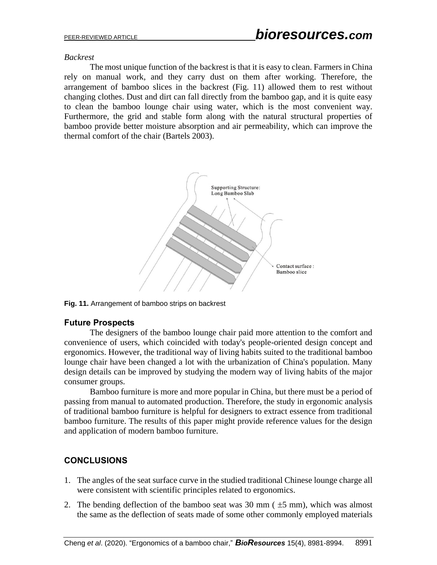#### *Backrest*

The most unique function of the backrest is that it is easy to clean. Farmers in China rely on manual work, and they carry dust on them after working. Therefore, the arrangement of bamboo slices in the backrest (Fig. 11) allowed them to rest without changing clothes. Dust and dirt can fall directly from the bamboo gap, and it is quite easy to clean the bamboo lounge chair using water, which is the most convenient way. Furthermore, the grid and stable form along with the natural structural properties of bamboo provide better moisture absorption and air permeability, which can improve the thermal comfort of the chair (Bartels 2003).



**Fig. 11.** Arrangement of bamboo strips on backrest

# **Future Prospects**

The designers of the bamboo lounge chair paid more attention to the comfort and convenience of users, which coincided with today's people-oriented design concept and ergonomics. However, the traditional way of living habits suited to the traditional bamboo lounge chair have been changed a lot with the urbanization of China's population. Many design details can be improved by studying the modern way of living habits of the major consumer groups.

Bamboo furniture is more and more popular in China, but there must be a period of passing from manual to automated production. Therefore, the study in ergonomic analysis of traditional bamboo furniture is helpful for designers to extract essence from traditional bamboo furniture. The results of this paper might provide reference values for the design and application of modern bamboo furniture.

# **CONCLUSIONS**

- 1. The angles of the seat surface curve in the studied traditional Chinese lounge charge all were consistent with scientific principles related to ergonomics.
- 2. The bending deflection of the bamboo seat was  $30 \text{ mm}$  ( $\pm 5 \text{ mm}$ ), which was almost the same as the deflection of seats made of some other commonly employed materials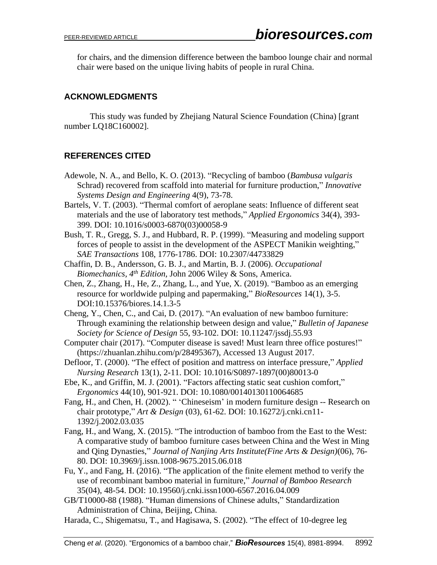for chairs, and the dimension difference between the bamboo lounge chair and normal chair were based on the unique living habits of people in rural China.

# **ACKNOWLEDGMENTS**

This study was funded by Zhejiang Natural Science Foundation (China) [grant number LQ18C160002].

# **REFERENCES CITED**

- Adewole, N. A., and Bello, K. O. (2013). "Recycling of bamboo (*Bambusa vulgaris* Schrad) recovered from scaffold into material for furniture production," *Innovative Systems Design and Engineering* 4(9), 73-78.
- Bartels, V. T. (2003). "Thermal comfort of aeroplane seats: Influence of different seat materials and the use of laboratory test methods," *Applied Ergonomics* 34(4), 393- 399. DOI: 10.1016/s0003-6870(03)00058-9
- Bush, T. R., Gregg, S. J., and Hubbard, R. P. (1999). "Measuring and modeling support forces of people to assist in the development of the ASPECT Manikin weighting," *SAE Transactions* 108, 1776-1786. DOI: 10.2307/44733829
- Chaffin, D. B., Andersson, G. B. J., and Martin, B. J. (2006). *Occupational Biomechanics, 4th Edition,* John 2006 Wiley & Sons, America.
- Chen, Z., Zhang, H., He, Z., Zhang, L., and Yue, X. (2019). "Bamboo as an emerging resource for worldwide pulping and papermaking," *BioResources* 14(1), 3-5. DOI:10.15376/biores.14.1.3-5
- Cheng, Y., Chen, C., and Cai, D. (2017). "An evaluation of new bamboo furniture: Through examining the relationship between design and value," *Bulletin of Japanese Society for Science of Design* 55, 93-102. DOI: 10.11247/jssdj.55.93
- Computer chair (2017). "Computer disease is saved! Must learn three office postures!" (https://zhuanlan.zhihu.com/p/28495367), Accessed 13 August 2017.
- Defloor, T. (2000). "The effect of position and mattress on interface pressure," *Applied Nursing Research* 13(1), 2-11. DOI: 10.1016/S0897-1897(00)80013-0
- Ebe, K., and Griffin, M. J. (2001). "Factors affecting static seat cushion comfort," *Ergonomics* 44(10), 901-921. DOI: 10.1080/00140130110064685
- Fang, H., and Chen, H. (2002). " 'Chineseism' in modern furniture design -- Research on chair prototype," *Art & Design* (03), 61-62. DOI: 10.16272/j.cnki.cn11- 1392/j.2002.03.035
- Fang, H., and Wang, X. (2015). "The introduction of bamboo from the East to the West: A comparative study of bamboo furniture cases between China and the West in Ming and Qing Dynasties," *Journal of Nanjing Arts Institute(Fine Arts & Design)*(06), 76- 80. DOI: 10.3969/j.issn.1008-9675.2015.06.018
- Fu, Y., and Fang, H. (2016). "The application of the finite element method to verify the use of recombinant bamboo material in furniture," *Journal of Bamboo Research*  35(04), 48-54. DOI: 10.19560/j.cnki.issn1000-6567.2016.04.009
- GB/T10000-88 (1988). "Human dimensions of Chinese adults," Standardization Administration of China, Beijing, China.
- Harada, C., Shigematsu, T., and Hagisawa, S. (2002). "The effect of 10-degree leg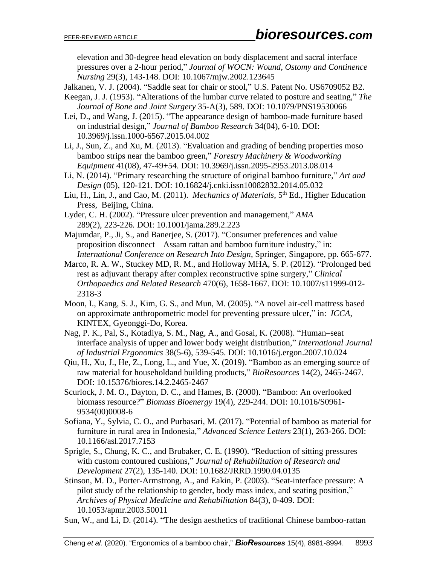elevation and 30-degree head elevation on body displacement and sacral interface pressures over a 2-hour period," *Journal of WOCN: Wound, Ostomy and Continence Nursing* 29(3), 143-148. DOI: 10.1067/mjw.2002.123645

Jalkanen, V. J. (2004). "Saddle seat for chair or stool," U.S. Patent No. US6709052 B2.

Keegan, J. J. (1953). "Alterations of the lumbar curve related to posture and seating," *The Journal of Bone and Joint Surgery* 35-A(3), 589. DOI: 10.1079/PNS19530066

Lei, D., and Wang, J. (2015). "The appearance design of bamboo-made furniture based on industrial design," *Journal of Bamboo Research* 34(04), 6-10. DOI: 10.3969/j.issn.1000-6567.2015.04.002

Li, J., Sun, Z., and Xu, M. (2013). "Evaluation and grading of bending properties moso bamboo strips near the bamboo green," *Forestry Machinery & Woodworking Equipment* 41(08), 47-49+54. DOI: 10.3969/j.issn.2095-2953.2013.08.014

Li, N. (2014). "Primary researching the structure of original bamboo furniture," *Art and Design* (05), 120-121. DOI: 10.16824/j.cnki.issn10082832.2014.05.032

- Liu, H., Lin, J., and Cao, M. (2011). *Mechanics of Materials*, 5<sup>th</sup> Ed., Higher Education Press, Beijing, China.
- Lyder, C. H. (2002). "Pressure ulcer prevention and management," *AMA* 289(2), 223-226*.* DOI: 10.1001/jama.289.2.223
- Majumdar, P., Ji, S., and Banerjee, S. (2017). "Consumer preferences and value proposition disconnect—Assam rattan and bamboo furniture industry," in: *International Conference on Research Into Design*, Springer, Singapore, pp. 665-677.
- Marco, R. A. W., Stuckey MD, R. M., and Holloway MHA, S. P. (2012). "Prolonged bed rest as adjuvant therapy after complex reconstructive spine surgery," *Clinical Orthopaedics and Related Research* 470(6), 1658-1667. DOI: 10.1007/s11999-012- 2318-3
- Moon, I., Kang, S. J., Kim, G. S., and Mun, M. (2005). "A novel air-cell mattress based on approximate anthropometric model for preventing pressure ulcer," in: *ICCA*, KINTEX, Gyeonggi-Do, Korea.
- Nag, P. K., Pal, S., Kotadiya, S. M., Nag, A., and Gosai, K. (2008). "Human–seat interface analysis of upper and lower body weight distribution," *International Journal of Industrial Ergonomics* 38(5-6), 539-545. DOI: 10.1016/j.ergon.2007.10.024
- Qiu, H., Xu, J., He, Z., Long, L., and Yue, X. (2019). "Bamboo as an emerging source of raw material for householdand building products," *BioResources* 14(2), 2465-2467. DOI: 10.15376/biores.14.2.2465-2467
- Scurlock, J. M. O., Dayton, D. C., and Hames, B. (2000). "Bamboo: An overlooked biomass resource?" *Biomass Bioenergy* 19(4), 229-244. DOI: 10.1016/S0961- 9534(00)0008-6
- Sofiana, Y., Sylvia, C. O., and Purbasari, M. (2017). "Potential of bamboo as material for furniture in rural area in Indonesia," *Advanced Science Letters* 23(1), 263-266. DOI: 10.1166/asl.2017.7153
- Sprigle, S., Chung, K. C., and Brubaker, C. E. (1990). "Reduction of sitting pressures with custom contoured cushions," *Journal of Rehabilitation of Research and Development* 27(2), 135-140. DOI: 10.1682/JRRD.1990.04.0135
- Stinson, M. D., Porter-Armstrong, A., and Eakin, P. (2003). "Seat-interface pressure: A pilot study of the relationship to gender, body mass index, and seating position," *Archives of Physical Medicine and Rehabilitation* 84(3), 0-409. DOI: 10.1053/apmr.2003.50011
- Sun, W., and Li, D. (2014). "The design aesthetics of traditional Chinese bamboo-rattan